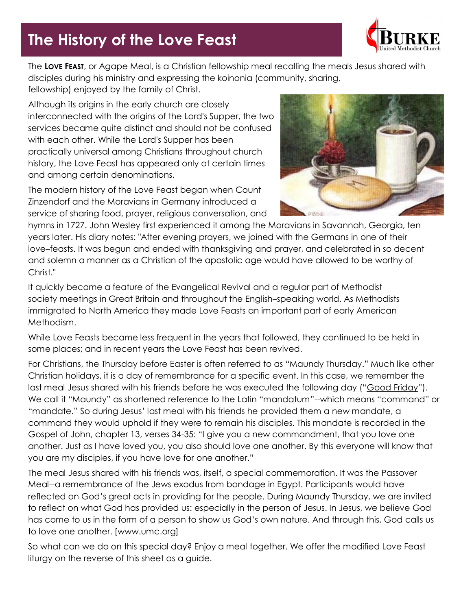# **The History of the Love Feast**



The **LOVE FEAST**, or Agape Meal, is a Christian fellowship meal recalling the meals Jesus shared with disciples during his ministry and expressing the koinonia (community, sharing, fellowship) enjoyed by the family of Christ.

Although its origins in the early church are closely interconnected with the origins of the Lord's Supper, the two services became quite distinct and should not be confused with each other. While the Lord's Supper has been practically universal among Christians throughout church history, the Love Feast has appeared only at certain times and among certain denominations.

The modern history of the Love Feast began when Count Zinzendorf and the Moravians in Germany introduced a service of sharing food, prayer, religious conversation, and



hymns in 1727. John Wesley first experienced it among the Moravians in Savannah, Georgia, ten years later. His diary notes: "After evening prayers, we joined with the Germans in one of their love–feasts. It was begun and ended with thanksgiving and prayer, and celebrated in so decent and solemn a manner as a Christian of the apostolic age would have allowed to be worthy of Christ."

It quickly became a feature of the Evangelical Revival and a regular part of Methodist society meetings in Great Britain and throughout the English–speaking world. As Methodists immigrated to North America they made Love Feasts an important part of early American Methodism.

While Love Feasts became less frequent in the years that followed, they continued to be held in some places; and in recent years the Love Feast has been revived.

For Christians, the Thursday before Easter is often referred to as "Maundy Thursday." Much like other Christian holidays, it is a day of remembrance for a specific event. In this case, we remember the last meal Jesus shared with his friends before he was executed the following day ("[Good Friday](http://www.rethinkchurch.org/articles/easter/good-friday)"). We call it "Maundy" as shortened reference to the Latin "mandatum"--which means "command" or "mandate." So during Jesus' last meal with his friends he provided them a new mandate, a command they would uphold if they were to remain his disciples. This mandate is recorded in the Gospel of John, chapter 13, verses 34-35: "I give you a new commandment, that you love one another. Just as I have loved you, you also should love one another. By this everyone will know that you are my disciples, if you have love for one another."

The meal Jesus shared with his friends was, itself, a special commemoration. It was the Passover Meal--a remembrance of the Jews exodus from bondage in Egypt. Participants would have reflected on God's great acts in providing for the people. During Maundy Thursday, we are invited to reflect on what God has provided us: especially in the person of Jesus. In Jesus, we believe God has come to us in the form of a person to show us God's own nature. And through this, God calls us to love one another. [www.umc.org]

So what can we do on this special day? Enjoy a meal together. We offer the modified Love Feast liturgy on the reverse of this sheet as a guide.